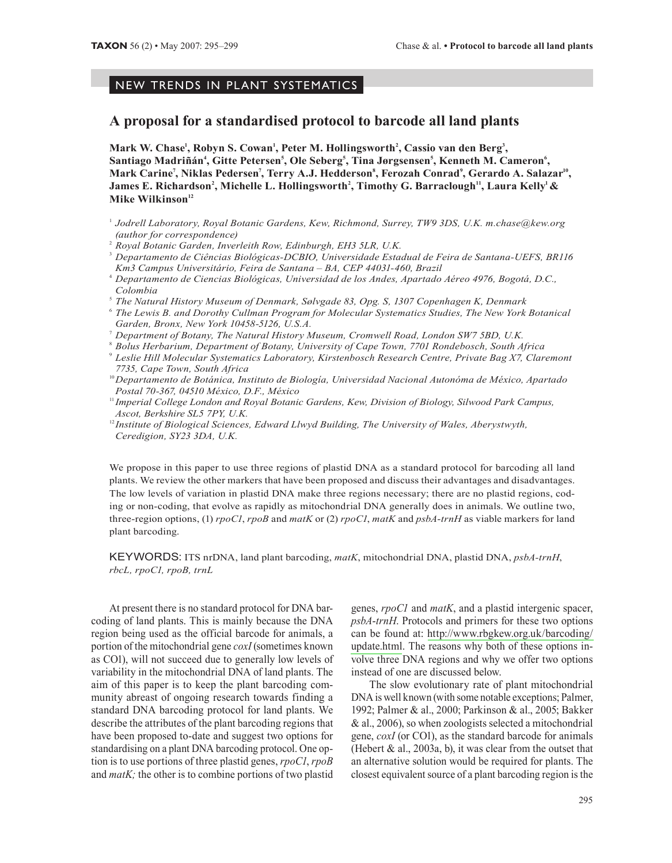## NEW TRENDS IN PLANT SYSTEMATICS

## A proposal for a standardised protocol to barcode all land plants

Mark W. Chase<sup>1</sup>, Robyn S. Cowan<sup>1</sup>, Peter M. Hollingsworth<sup>2</sup>, Cassio van den Berg<sup>3</sup>, Santiago Madriñán<sup>4</sup>, Gitte Petersen<sup>5</sup>, Ole Seberg<sup>5</sup>, Tina Jørgsensen<sup>5</sup>, Kenneth M. Cameron<sup>6</sup>, Mark Carine<sup>7</sup>, Niklas Pedersen<sup>7</sup>, Terry A.J. Hedderson<sup>8</sup>, Ferozah Conrad<sup>9</sup>, Gerardo A. Salazar<sup>10</sup>, James E. Richardson<sup>2</sup>, Michelle L. Hollingsworth<sup>2</sup>, Timothy G. Barraclough<sup>11</sup>, Laura Kelly<sup>1</sup> & Mike Wilkinson<sup>12</sup>

- Jodrell Laboratory, Royal Botanic Gardens, Kew, Richmond, Surrey, TW9 3DS, U.K. m.chase@kew.org (author for correspondence)
- <sup>2</sup> Royal Botanic Garden, Inverleith Row, Edinburgh, EH3 5LR, U.K.
- Departamento de Ciências Biológicas-DCBIO, Universidade Estadual de Feira de Santana-UEFS, BR116 Km3 Campus Universitário, Feira de Santana - BA, CEP 44031-460, Brazil
- 4 Departamento de Ciencias Biológicas, Universidad de los Andes, Apartado Aéreo 4976, Bogotá, D.C., Colombia
- <sup>5</sup> The Natural History Museum of Denmark, Sølvgade 83, Opg. S, 1307 Copenhagen K, Denmark
- <sup>6</sup> The Lewis B. and Dorothy Cullman Program for Molecular Systematics Studies, The New York Botanical Garden, Bronx, New York 10458-5126, U.S.A.
- <sup>7</sup> Department of Botany, The Natural History Museum, Cromwell Road, London SW7 5BD, U.K.
- <sup>8</sup> Bolus Herbarium, Department of Botany, University of Cape Town, 7701 Rondebosch, South Africa
- <sup>9</sup> Leslie Hill Molecular Systematics Laboratory, Kirstenbosch Research Centre, Private Bag X7, Claremont 7735, Cape Town, South Africa
- <sup>10</sup>Departamento de Botánica, Instituto de Biología, Universidad Nacional Autonóma de México, Apartado Postal 70-367, 04510 México, D.F., México
- <sup>11</sup> Imperial College London and Royal Botanic Gardens, Kew, Division of Biology, Silwood Park Campus, Ascot, Berkshire SL5 7PY, U.K.
- <sup>12</sup>Institute of Biological Sciences, Edward Llwyd Building, The University of Wales, Aberystwyth, Ceredigion, SY23 3DA, U.K.

We propose in this paper to use three regions of plastid DNA as a standard protocol for barcoding all land plants. We review the other markers that have been proposed and discuss their advantages and disadvantages. The low levels of variation in plastid DNA make three regions necessary; there are no plastid regions, coding or non-coding, that evolve as rapidly as mitochondrial DNA generally does in animals. We outline two, three-region options, (1)  $rpoCl$ ,  $rpoB$  and matK or (2)  $rpoCl$ , matK and  $psbA-trnH$  as viable markers for land plant barcoding.

**KEYWORDS:** ITS nrDNA, land plant barcoding, matK, mitochondrial DNA, plastid DNA, psbA-trnH, rbcL, rpoCl, rpoB, trnL

At present there is no standard protocol for DNA barcoding of land plants. This is mainly because the DNA region being used as the official barcode for animals, a portion of the mitochondrial gene coxI (sometimes known as CO1), will not succeed due to generally low levels of variability in the mitochondrial DNA of land plants. The aim of this paper is to keep the plant barcoding community abreast of ongoing research towards finding a standard DNA barcoding protocol for land plants. We describe the attributes of the plant barcoding regions that have been proposed to-date and suggest two options for standardising on a plant DNA barcoding protocol. One option is to use portions of three plastid genes, rpoCl, rpoB and  $\textit{matK}$ ; the other is to combine portions of two plastid

genes, *rpoCl* and *matK*, and a plastid intergenic spacer, *psbA-trnH*. Protocols and primers for these two options can be found at: http://www.rbgkew.org.uk/barcoding/ update.html. The reasons why both of these options involve three DNA regions and why we offer two options instead of one are discussed below.

The slow evolutionary rate of plant mitochondrial DNA is well known (with some notable exceptions; Palmer, 1992; Palmer & al., 2000; Parkinson & al., 2005; Bakker  $\&$  al., 2006), so when zoologists selected a mitochondrial gene, *coxI* (or CO1), as the standard barcode for animals (Hebert & al., 2003a, b), it was clear from the outset that an alternative solution would be required for plants. The closest equivalent source of a plant barcoding region is the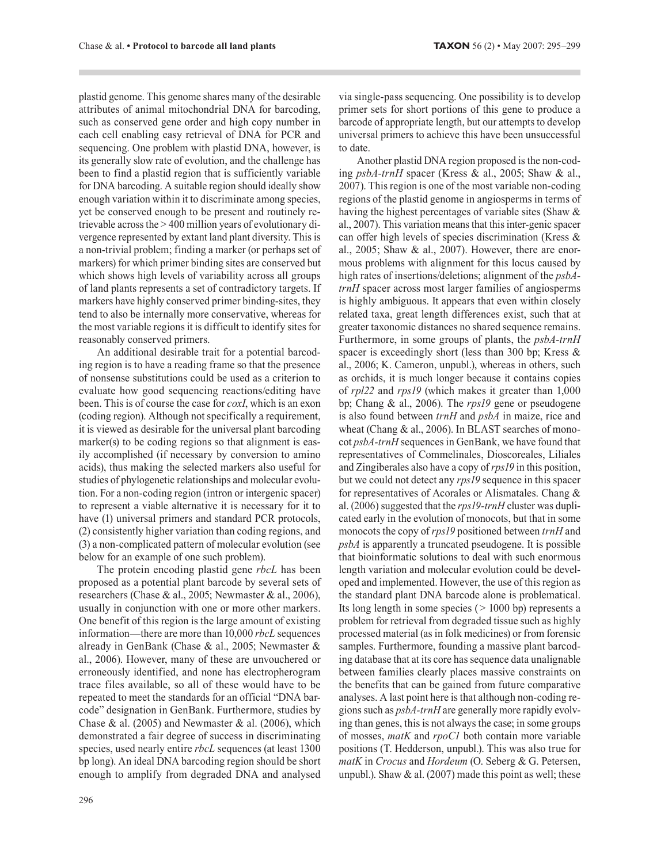plastid genome. This genome shares many of the desirable attributes of animal mitochondrial DNA for barcoding, such as conserved gene order and high copy number in each cell enabling easy retrieval of DNA for PCR and sequencing. One problem with plastid DNA, however, is its generally slow rate of evolution, and the challenge has been to find a plastid region that is sufficiently variable for DNA barcoding. A suitable region should ideally show enough variation within it to discriminate among species, yet be conserved enough to be present and routinely retrievable across the  $>400$  million years of evolutionary divergence represented by extant land plant diversity. This is a non-trivial problem; finding a marker (or perhaps set of markers) for which primer binding sites are conserved but which shows high levels of variability across all groups of land plants represents a set of contradictory targets. If markers have highly conserved primer binding-sites, they tend to also be internally more conservative, whereas for the most variable regions it is difficult to identify sites for reasonably conserved primers.

An additional desirable trait for a potential barcoding region is to have a reading frame so that the presence of nonsense substitutions could be used as a criterion to evaluate how good sequencing reactions/editing have been. This is of course the case for *coxI*, which is an exon (coding region). Although not specifically a requirement, it is viewed as desirable for the universal plant barcoding marker(s) to be coding regions so that alignment is easily accomplished (if necessary by conversion to amino acids), thus making the selected markers also useful for studies of phylogenetic relationships and molecular evolution. For a non-coding region (intron or intergenic spacer) to represent a viable alternative it is necessary for it to have (1) universal primers and standard PCR protocols, (2) consistently higher variation than coding regions, and (3) a non-complicated pattern of molecular evolution (see below for an example of one such problem).

The protein encoding plastid gene *rbcL* has been proposed as a potential plant barcode by several sets of researchers (Chase & al., 2005; Newmaster & al., 2006), usually in conjunction with one or more other markers. One benefit of this region is the large amount of existing information—there are more than 10,000 *rbcL* sequences already in GenBank (Chase & al., 2005; Newmaster & al., 2006). However, many of these are unvouchered or erroneously identified, and none has electropherogram trace files available, so all of these would have to be repeated to meet the standards for an official "DNA barcode" designation in GenBank. Furthermore, studies by Chase & al. (2005) and Newmaster & al. (2006), which demonstrated a fair degree of success in discriminating species, used nearly entire *rbcL* sequences (at least 1300 bp long). An ideal DNA barcoding region should be short enough to amplify from degraded DNA and analysed

296

via single-pass sequencing. One possibility is to develop primer sets for short portions of this gene to produce a barcode of appropriate length, but our attempts to develop universal primers to achieve this have been unsuccessful to date.

Another plastid DNA region proposed is the non-coding *psbA-trnH* spacer (Kress & al., 2005; Shaw & al., 2007). This region is one of the most variable non-coding regions of the plastid genome in angiosperms in terms of having the highest percentages of variable sites (Shaw & al., 2007). This variation means that this inter-genic spacer can offer high levels of species discrimination (Kress & al., 2005; Shaw & al., 2007). However, there are enormous problems with alignment for this locus caused by high rates of insertions/deletions; alignment of the *psbAtrnH* spacer across most larger families of angiosperms is highly ambiguous. It appears that even within closely related taxa, great length differences exist, such that at greater taxonomic distances no shared sequence remains. Furthermore, in some groups of plants, the psbA-trnH spacer is exceedingly short (less than 300 bp; Kress  $\&$ al., 2006; K. Cameron, unpubl.), whereas in others, such as orchids, it is much longer because it contains copies of rpl22 and rps19 (which makes it greater than 1,000 bp; Chang & al., 2006). The  $rps19$  gene or pseudogene is also found between *trnH* and *psbA* in maize, rice and wheat (Chang & al., 2006). In BLAST searches of monocot psbA-trnH sequences in GenBank, we have found that representatives of Commelinales, Dioscoreales, Liliales and Zingiberales also have a copy of rps19 in this position, but we could not detect any rps19 sequence in this spacer for representatives of Acorales or Alismatales. Chang  $\&$ al. (2006) suggested that the rps19-trnH cluster was duplicated early in the evolution of monocots, but that in some monocots the copy of rps19 positioned between trnH and *psbA* is apparently a truncated pseudogene. It is possible that bioinformatic solutions to deal with such enormous length variation and molecular evolution could be developed and implemented. However, the use of this region as the standard plant DNA barcode alone is problematical. Its long length in some species  $($  > 1000 bp) represents a problem for retrieval from degraded tissue such as highly processed material (as in folk medicines) or from forensic samples. Furthermore, founding a massive plant barcoding database that at its core has sequence data unalignable between families clearly places massive constraints on the benefits that can be gained from future comparative analyses. A last point here is that although non-coding regions such as *psbA-trnH* are generally more rapidly evolving than genes, this is not always the case; in some groups of mosses, *matK* and *rpoCl* both contain more variable positions (T. Hedderson, unpubl.). This was also true for matK in Crocus and Hordeum (O. Seberg & G. Petersen, unpubl.). Shaw  $\&$  al. (2007) made this point as well; these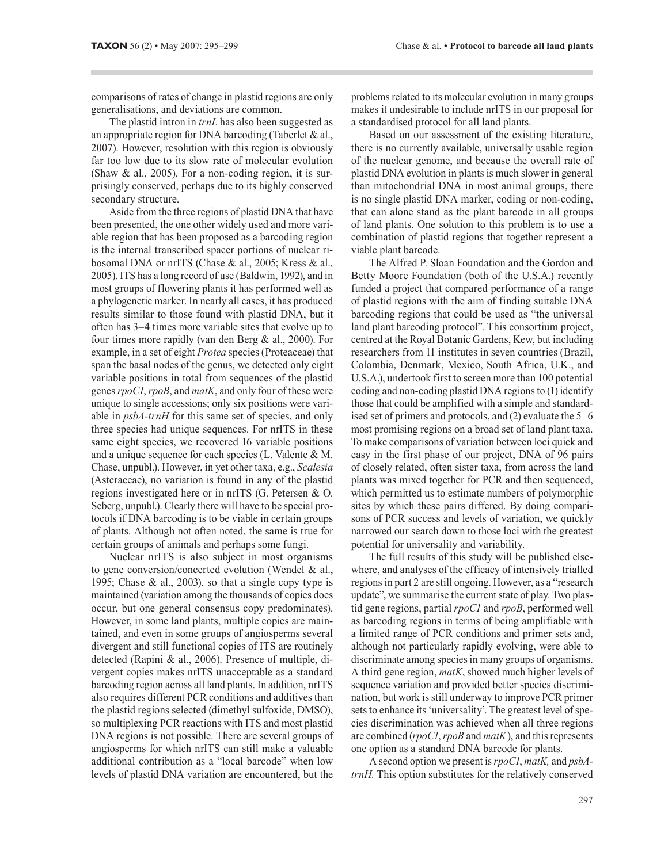comparisons of rates of change in plastid regions are only generalisations, and deviations are common.

The plastid intron in trnL has also been suggested as an appropriate region for DNA barcoding (Taberlet & al., 2007). However, resolution with this region is obviously far too low due to its slow rate of molecular evolution (Shaw & al., 2005). For a non-coding region, it is surprisingly conserved, perhaps due to its highly conserved secondary structure.

Aside from the three regions of plastid DNA that have been presented, the one other widely used and more variable region that has been proposed as a barcoding region is the internal transcribed spacer portions of nuclear ribosomal DNA or nrITS (Chase & al., 2005; Kress & al., 2005). ITS has a long record of use (Baldwin, 1992), and in most groups of flowering plants it has performed well as a phylogenetic marker. In nearly all cases, it has produced results similar to those found with plastid DNA, but it often has 3–4 times more variable sites that evolve up to four times more rapidly (van den Berg & al., 2000). For example, in a set of eight Protea species (Proteaceae) that span the basal nodes of the genus, we detected only eight variable positions in total from sequences of the plastid genes rpoCl, rpoB, and matK, and only four of these were unique to single accessions; only six positions were variable in *psbA-trnH* for this same set of species, and only three species had unique sequences. For nrITS in these same eight species, we recovered 16 variable positions and a unique sequence for each species (L. Valente & M. Chase, unpubl.). However, in yet other taxa, e.g., Scalesia (Asteraceae), no variation is found in any of the plastid regions investigated here or in nrITS (G. Petersen & O. Seberg, unpubl.). Clearly there will have to be special protocols if DNA barcoding is to be viable in certain groups of plants. Although not often noted, the same is true for certain groups of animals and perhaps some fungi.

Nuclear nrITS is also subject in most organisms to gene conversion/concerted evolution (Wendel & al., 1995; Chase & al., 2003), so that a single copy type is maintained (variation among the thousands of copies does occur, but one general consensus copy predominates). However, in some land plants, multiple copies are maintained, and even in some groups of angiosperms several divergent and still functional copies of ITS are routinely detected (Rapini & al., 2006). Presence of multiple, divergent copies makes nrITS unacceptable as a standard barcoding region across all land plants. In addition, nrITS also requires different PCR conditions and additives than the plastid regions selected (dimethyl sulfoxide, DMSO), so multiplexing PCR reactions with ITS and most plastid DNA regions is not possible. There are several groups of angiosperms for which nrITS can still make a valuable additional contribution as a "local barcode" when low levels of plastid DNA variation are encountered, but the problems related to its molecular evolution in many groups makes it undesirable to include nrITS in our proposal for a standardised protocol for all land plants.

Based on our assessment of the existing literature, there is no currently available, universally usable region of the nuclear genome, and because the overall rate of plastid DNA evolution in plants is much slower in general than mitochondrial DNA in most animal groups, there is no single plastid DNA marker, coding or non-coding, that can alone stand as the plant barcode in all groups of land plants. One solution to this problem is to use a combination of plastid regions that together represent a viable plant barcode.

The Alfred P. Sloan Foundation and the Gordon and Betty Moore Foundation (both of the U.S.A.) recently funded a project that compared performance of a range of plastid regions with the aim of finding suitable DNA barcoding regions that could be used as "the universal land plant barcoding protocol". This consortium project, centred at the Royal Botanic Gardens, Kew, but including researchers from 11 institutes in seven countries (Brazil, Colombia, Denmark, Mexico, South Africa, U.K., and U.S.A.), undertook first to screen more than 100 potential coding and non-coding plastid DNA regions to (1) identify those that could be amplified with a simple and standardised set of primers and protocols, and (2) evaluate the 5–6 most promising regions on a broad set of land plant taxa. To make comparisons of variation between loci quick and easy in the first phase of our project, DNA of 96 pairs of closely related, often sister taxa, from across the land plants was mixed together for PCR and then sequenced, which permitted us to estimate numbers of polymorphic sites by which these pairs differed. By doing comparisons of PCR success and levels of variation, we quickly narrowed our search down to those loci with the greatest potential for universality and variability.

The full results of this study will be published elsewhere, and analyses of the efficacy of intensively trialled regions in part 2 are still ongoing. However, as a "research" update", we summarise the current state of play. Two plastid gene regions, partial rpoCl and rpoB, performed well as barcoding regions in terms of being amplifiable with a limited range of PCR conditions and primer sets and, although not particularly rapidly evolving, were able to discriminate among species in many groups of organisms. A third gene region, matK, showed much higher levels of sequence variation and provided better species discrimination, but work is still underway to improve PCR primer sets to enhance its 'universality'. The greatest level of species discrimination was achieved when all three regions are combined (rpoCl, rpoB and matK), and this represents one option as a standard DNA barcode for plants.

A second option we present is rpoCl, matK, and psbAtrnH. This option substitutes for the relatively conserved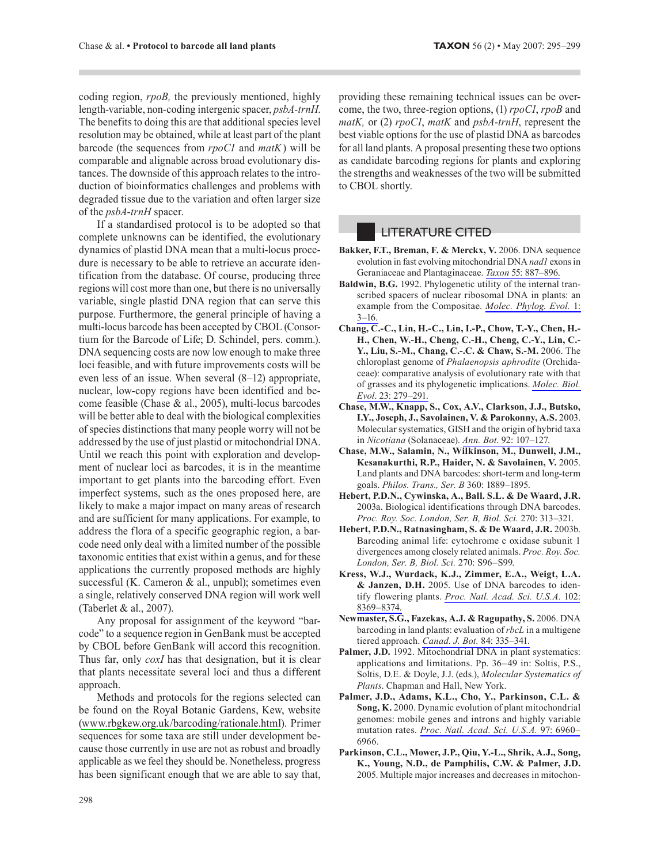coding region, rpoB, the previously mentioned, highly length-variable, non-coding intergenic spacer, psbA-trnH. The benefits to doing this are that additional species level resolution may be obtained, while at least part of the plant barcode (the sequences from  $rpoCl$  and  $matK$ ) will be comparable and alignable across broad evolutionary distances. The downside of this approach relates to the introduction of bioinformatics challenges and problems with degraded tissue due to the variation and often larger size of the *psbA-trnH* spacer.

If a standardised protocol is to be adopted so that complete unknowns can be identified, the evolutionary dynamics of plastid DNA mean that a multi-locus procedure is necessary to be able to retrieve an accurate identification from the database. Of course, producing three regions will cost more than one, but there is no universally variable, single plastid DNA region that can serve this purpose. Furthermore, the general principle of having a multi-locus barcode has been accepted by CBOL (Consortium for the Barcode of Life; D. Schindel, pers. comm.). DNA sequencing costs are now low enough to make three loci feasible, and with future improvements costs will be even less of an issue. When several  $(8-12)$  appropriate, nuclear, low-copy regions have been identified and become feasible (Chase  $\&$  al., 2005), multi-locus barcodes will be better able to deal with the biological complexities of species distinctions that many people worry will not be addressed by the use of just plastid or mitochondrial DNA. Until we reach this point with exploration and development of nuclear loci as barcodes, it is in the meantime important to get plants into the barcoding effort. Even imperfect systems, such as the ones proposed here, are likely to make a major impact on many areas of research and are sufficient for many applications. For example, to address the flora of a specific geographic region, a barcode need only deal with a limited number of the possible taxonomic entities that exist within a genus, and for these applications the currently proposed methods are highly successful (K. Cameron & al., unpubl); sometimes even a single, relatively conserved DNA region will work well (Taberlet & al., 2007).

Any proposal for assignment of the keyword "barcode" to a sequence region in GenBank must be accepted by CBOL before GenBank will accord this recognition. Thus far, only coxl has that designation, but it is clear that plants necessitate several loci and thus a different approach.

Methods and protocols for the regions selected can be found on the Royal Botanic Gardens, Kew, website (www.rbgkew.org.uk/barcoding/rationale.html). Primer sequences for some taxa are still under development because those currently in use are not as robust and broadly applicable as we feel they should be. Nonetheless, progress has been significant enough that we are able to say that, providing these remaining technical issues can be overcome, the two, three-region options, (1) rpoCl, rpoB and matK, or (2) rpoCl, matK and psbA-trnH, represent the best viable options for the use of plastid DNA as barcodes for all land plants. A proposal presenting these two options as candidate barcoding regions for plants and exploring the strengths and weaknesses of the two will be submitted to CBOL shortly.

## **LITERATURE CITED**

- Bakker, F.T., Breman, F. & Merckx, V. 2006. DNA sequence evolution in fast evolving mitochondrial DNA nadl exons in Geraniaceae and Plantaginaceae. Taxon 55: 887-896.
- Baldwin, B.G. 1992. Phylogenetic utility of the internal transcribed spacers of nuclear ribosomal DNA in plants: an example from the Compositae. Molec. Phylog. Evol. 1:  $3 - 16$ .
- Chang, C.-C., Lin, H.-C., Lin, I.-P., Chow, T.-Y., Chen, H.-H., Chen, W.-H., Cheng, C.-H., Cheng, C.-Y., Lin, C.-Y., Liu, S.-M., Chang, C.-.C. & Chaw, S.-M. 2006. The chloroplast genome of Phalaenopsis aphrodite (Orchidaceae): comparative analysis of evolutionary rate with that of grasses and its phylogenetic implications. Molec. Biol. Evol. 23: 279-291.
- Chase, M.W., Knapp, S., Cox, A.V., Clarkson, J.J., Butsko, I.Y., Joseph, J., Savolainen, V. & Parokonny, A.S. 2003. Molecular systematics, GISH and the origin of hybrid taxa in Nicotiana (Solanaceae). Ann. Bot. 92: 107-127.
- Chase, M.W., Salamin, N., Wilkinson, M., Dunwell, J.M., Kesanakurthi, R.P., Haider, N. & Savolainen, V. 2005. Land plants and DNA barcodes: short-term and long-term goals. Philos. Trans., Ser. B 360: 1889-1895.
- Hebert, P.D.N., Cywinska, A., Ball. S.L. & De Waard, J.R. 2003a. Biological identifications through DNA barcodes. Proc. Roy. Soc. London, Ser. B, Biol. Sci. 270: 313-321.
- Hebert, P.D.N., Ratnasingham, S. & De Waard, J.R. 2003b. Barcoding animal life: cytochrome c oxidase subunit 1 divergences among closely related animals. Proc. Roy. Soc. London, Ser. B, Biol. Sci. 270: S96-S99.
- Kress, W.J., Wurdack, K.J., Zimmer, E.A., Weigt, L.A. & Janzen, D.H. 2005. Use of DNA barcodes to identify flowering plants. Proc. Natl. Acad. Sci. U.S.A. 102: 8369-8374
- Newmaster, S.G., Fazekas, A.J. & Ragupathy, S. 2006. DNA barcoding in land plants: evaluation of rbcL in a multigene tiered approach. Canad. J. Bot. 84: 335-341.
- Palmer, J.D. 1992. Mitochondrial DNA in plant systematics: applications and limitations. Pp. 36-49 in: Soltis, P.S., Soltis, D.E. & Doyle, J.J. (eds.), Molecular Systematics of Plants. Chapman and Hall, New York.
- Palmer, J.D., Adams, K.L., Cho, Y., Parkinson, C.L. & Song, K. 2000. Dynamic evolution of plant mitochondrial genomes: mobile genes and introns and highly variable mutation rates. Proc. Natl. Acad. Sci. U.S.A. 97: 6960-6966.
- Parkinson, C.L., Mower, J.P., Qiu, Y.-L., Shrik, A.J., Song, K., Young, N.D., de Pamphilis, C.W. & Palmer, J.D. 2005. Multiple major increases and decreases in mitochon-